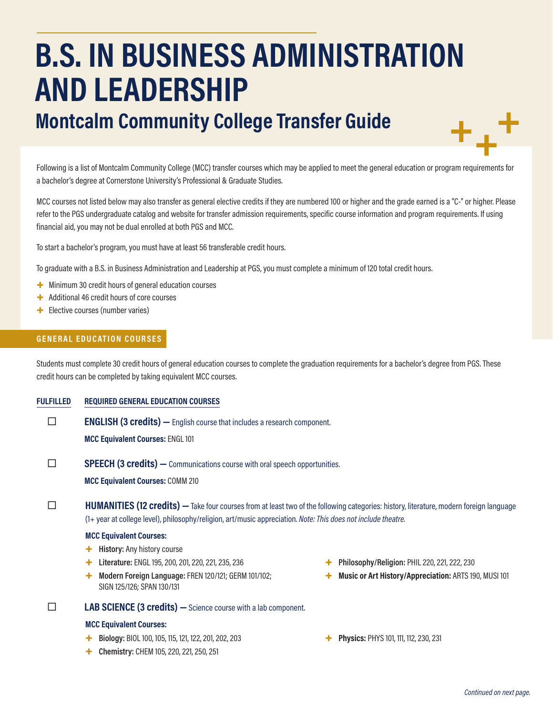# **B.S. IN BUSINESS ADMINISTRATION AND LEADERSHIP**

## **Montcalm Community College Transfer Guide**

Following is a list of Montcalm Community College (MCC) transfer courses which may be applied to meet the general education or program requirements for a bachelor's degree at Cornerstone University's Professional & Graduate Studies.

MCC courses not listed below may also transfer as general elective credits if they are numbered 100 or higher and the grade earned is a "C-" or higher. Please refer to the PGS undergraduate catalog and website for transfer admission requirements, specific course information and program requirements. If using financial aid, you may not be dual enrolled at both PGS and MCC.

To start a bachelor's program, you must have at least 56 transferable credit hours.

To graduate with a B.S. in Business Administration and Leadership at PGS, you must complete a minimum of 120 total credit hours.

- + Minimum 30 credit hours of general education courses
- + Additional 46 credit hours of core courses
- + Elective courses (number varies)

#### **GENERAL EDUCATION COURSES**

Students must complete 30 credit hours of general education courses to complete the graduation requirements for a bachelor's degree from PGS. These credit hours can be completed by taking equivalent MCC courses.

**FULFILLED REQUIRED GENERAL EDUCATION COURSES**

**ENGLISH (3 credits)** — English course that includes a research component.

**MCC Equivalent Courses:** ENGL 101

**SPEECH (3 credits)** — Communications course with oral speech opportunities.

**MCC Equivalent Courses:** COMM 210

**HUMANITIES (12 credits)** — Take four courses from at least two of the following categories: history, literature, modern foreign language (1+ year at college level), philosophy/religion, art/music appreciation. *Note: This does not include theatre.*

#### **MCC Equivalent Courses:**

- + **History:** Any history course
- + **Literature:** ENGL 195, 200, 201, 220, 221, 235, 236
- + **Modern Foreign Language:** FREN 120/121; GERM 101/102; SIGN 125/126; SPAN 130/131

#### **LAB SCIENCE (3 credits) —**Science course with a lab component.

#### **MCC Equivalent Courses:**

- + **Biology:** BIOL 100, 105, 115, 121, 122, 201, 202, 203
- + **Chemistry:** CHEM 105, 220, 221, 250, 251
- + **Philosophy/Religion:** PHIL 220, 221, 222, 230
- + **Music or Art History/Appreciation:** ARTS 190, MUSI 101
- + **Physics:** PHYS 101, 111, 112, 230, 231